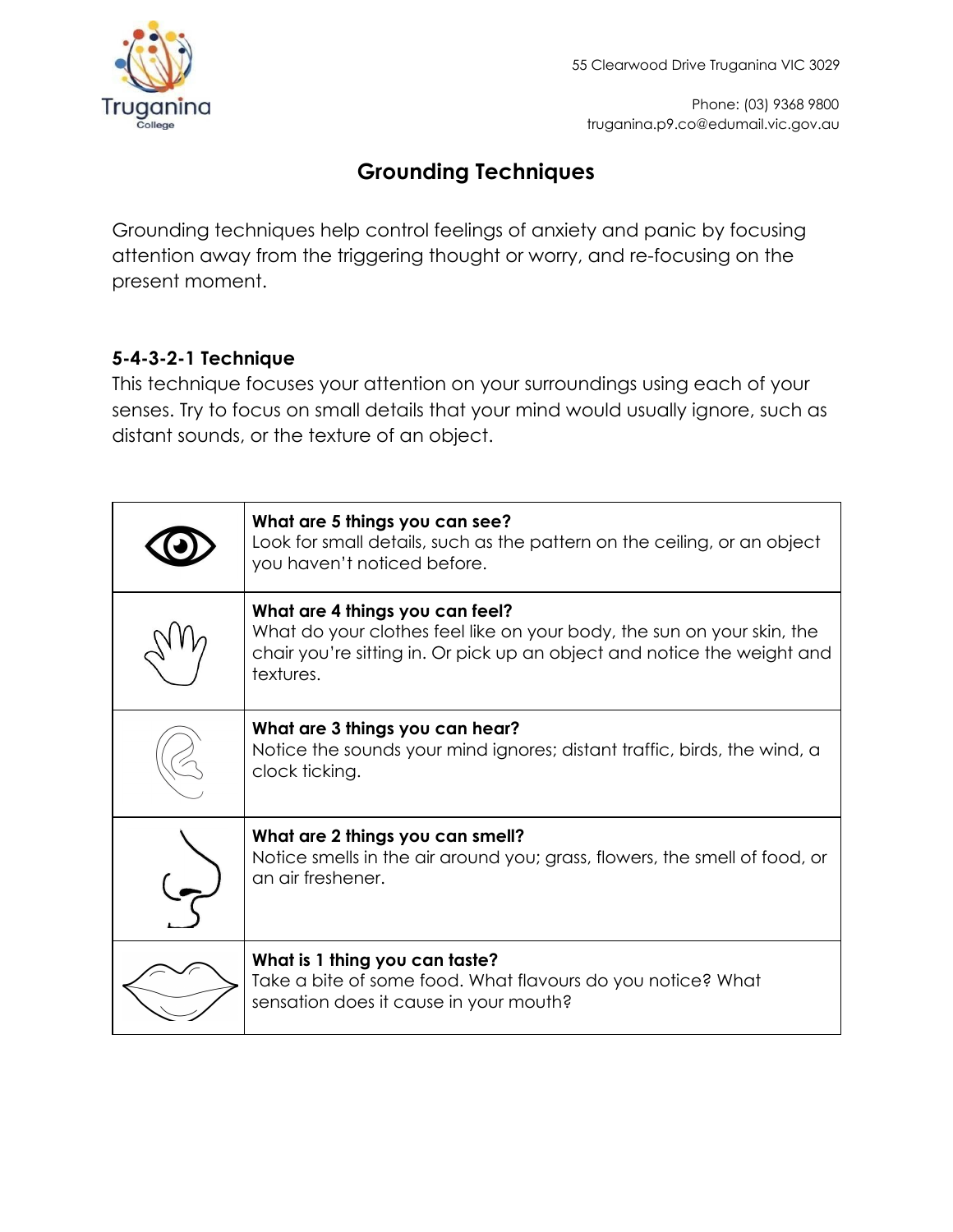

Phone: (03) 9368 9800 truganina.p9.co@edumail.vic.gov.au

# **Grounding Techniques**

Grounding techniques help control feelings of anxiety and panic by focusing attention away from the triggering thought or worry, and re-focusing on the present moment.

## **5-4-3-2-1 Technique**

This technique focuses your attention on your surroundings using each of your senses. Try to focus on small details that your mind would usually ignore, such as distant sounds, or the texture of an object.

| What are 5 things you can see?<br>Look for small details, such as the pattern on the ceiling, or an object<br>you haven't noticed before.                                                         |
|---------------------------------------------------------------------------------------------------------------------------------------------------------------------------------------------------|
| What are 4 things you can feel?<br>What do your clothes feel like on your body, the sun on your skin, the<br>chair you're sitting in. Or pick up an object and notice the weight and<br>textures. |
| What are 3 things you can hear?<br>Notice the sounds your mind ignores; distant traffic, birds, the wind, a<br>clock ticking.                                                                     |
| What are 2 things you can smell?<br>Notice smells in the air around you; grass, flowers, the smell of food, or<br>an air freshener.                                                               |
| What is 1 thing you can taste?<br>Take a bite of some food. What flavours do you notice? What<br>sensation does it cause in your mouth?                                                           |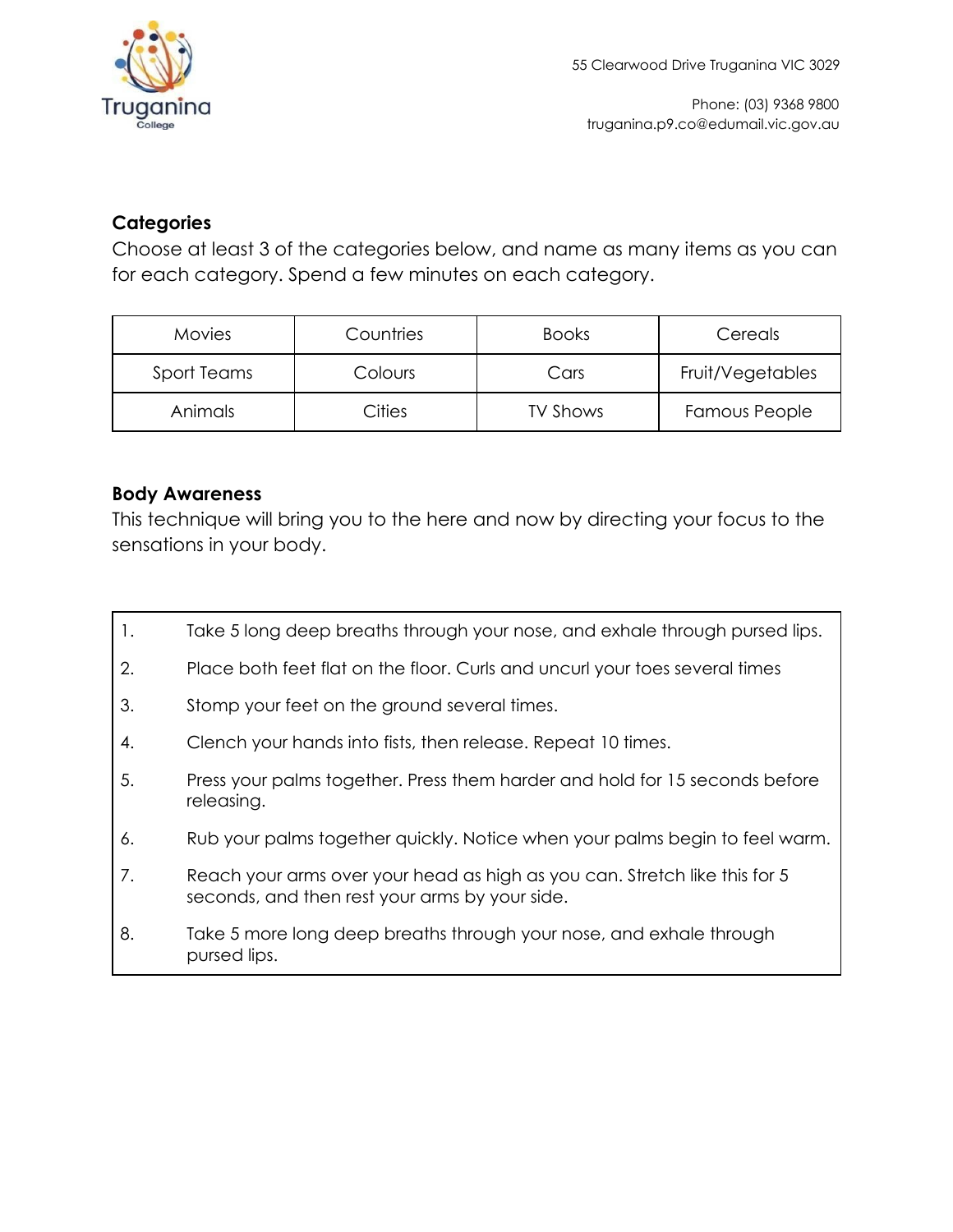

#### **Categories**

Choose at least 3 of the categories below, and name as many items as you can for each category. Spend a few minutes on each category.

| <b>Movies</b> | Countries | <b>Books</b>    | Cereals              |
|---------------|-----------|-----------------|----------------------|
| Sport Teams   | Colours   | Cars            | Fruit/Vegetables     |
| Animals       | Cities    | <b>TV Shows</b> | <b>Famous People</b> |

#### **Body Awareness**

This technique will bring you to the here and now by directing your focus to the sensations in your body.

- 1. Take 5 long deep breaths through your nose, and exhale through pursed lips.
- 2. Place both feet flat on the floor. Curls and uncurl your toes several times
- 3. Stomp your feet on the ground several times.
- 4. Clench your hands into fists, then release. Repeat 10 times.
- 5. Press your palms together. Press them harder and hold for 15 seconds before releasing.
- 6. Rub your palms together quickly. Notice when your palms begin to feel warm.
- 7. Reach your arms over your head as high as you can. Stretch like this for 5 seconds, and then rest your arms by your side.
- 8. Take 5 more long deep breaths through your nose, and exhale through pursed lips.